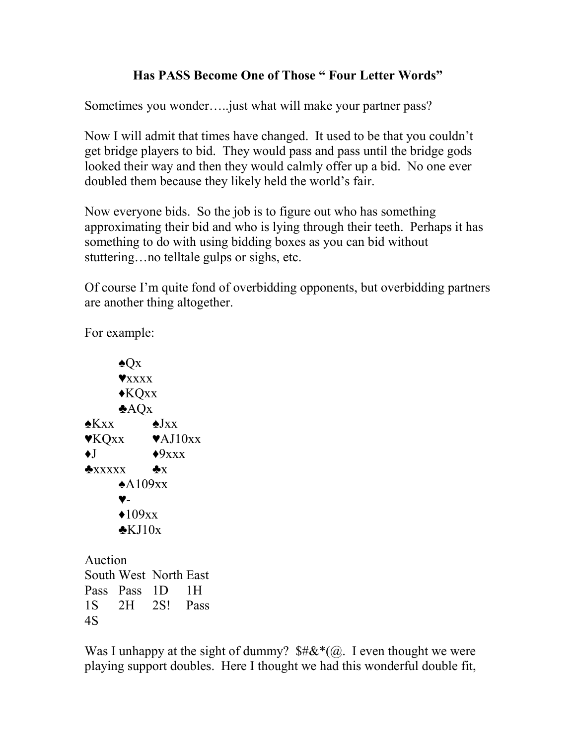## **Has PASS Become One of Those " Four Letter Words"**

Sometimes you wonder…..just what will make your partner pass?

Now I will admit that times have changed. It used to be that you couldn't get bridge players to bid. They would pass and pass until the bridge gods looked their way and then they would calmly offer up a bid. No one ever doubled them because they likely held the world's fair.

Now everyone bids. So the job is to figure out who has something approximating their bid and who is lying through their teeth. Perhaps it has something to do with using bidding boxes as you can bid without stuttering…no telltale gulps or sighs, etc.

Of course I'm quite fond of overbidding opponents, but overbidding partners are another thing altogether.

For example:

 $\triangle$ Ox ♥xxxx ♦KQxx  $AQX$ ♠Kxx ♠Jxx  $\blacktriangledown$ KQxx  $\blacktriangledown$ AJ10xx  $\triangleleft J$   $\triangleleft$ 9xxx  $\triangle$ xxxxx  $\triangle$ x  $\triangle$ A109xx ♥-  $\triangleleft109xx$  $\triangle$ KJ10x Auction South West North East Pass Pass 1D 1H 1S 2H 2S! Pass

4S

Was I unhappy at the sight of dummy?  $\frac{4}{\mathcal{K}}(a)$ . I even thought we were playing support doubles. Here I thought we had this wonderful double fit,